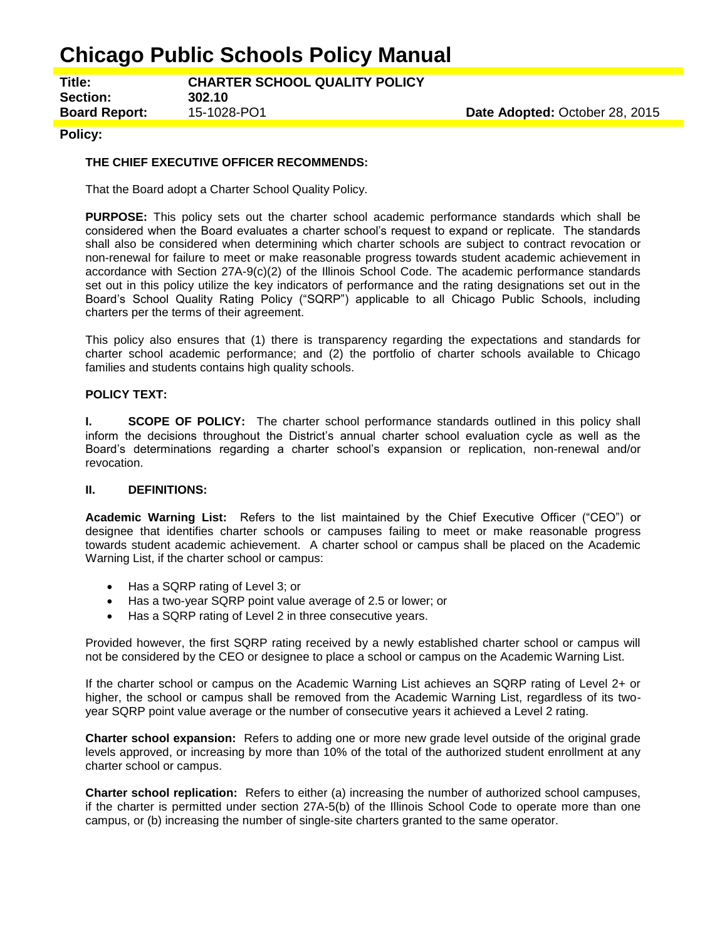# **Chicago Public Schools Policy Manual**

**Title: CHARTER SCHOOL QUALITY POLICY Section: 302.10 Board Report:** 15-1028-PO1 **Date Adopted:** October 28, 2015

## **Policy:**

### **THE CHIEF EXECUTIVE OFFICER RECOMMENDS:**

That the Board adopt a Charter School Quality Policy.

**PURPOSE:** This policy sets out the charter school academic performance standards which shall be considered when the Board evaluates a charter school's request to expand or replicate. The standards shall also be considered when determining which charter schools are subject to contract revocation or non-renewal for failure to meet or make reasonable progress towards student academic achievement in accordance with Section 27A-9(c)(2) of the Illinois School Code. The academic performance standards set out in this policy utilize the key indicators of performance and the rating designations set out in the Board's School Quality Rating Policy ("SQRP") applicable to all Chicago Public Schools, including charters per the terms of their agreement.

This policy also ensures that (1) there is transparency regarding the expectations and standards for charter school academic performance; and (2) the portfolio of charter schools available to Chicago families and students contains high quality schools.

#### **POLICY TEXT:**

**I. SCOPE OF POLICY:** The charter school performance standards outlined in this policy shall inform the decisions throughout the District's annual charter school evaluation cycle as well as the Board's determinations regarding a charter school's expansion or replication, non-renewal and/or revocation.

### **II. DEFINITIONS:**

**Academic Warning List:** Refers to the list maintained by the Chief Executive Officer ("CEO") or designee that identifies charter schools or campuses failing to meet or make reasonable progress towards student academic achievement. A charter school or campus shall be placed on the Academic Warning List, if the charter school or campus:

- Has a SQRP rating of Level 3; or
- Has a two-year SQRP point value average of 2.5 or lower; or
- Has a SQRP rating of Level 2 in three consecutive years.

Provided however, the first SQRP rating received by a newly established charter school or campus will not be considered by the CEO or designee to place a school or campus on the Academic Warning List.

If the charter school or campus on the Academic Warning List achieves an SQRP rating of Level 2+ or higher, the school or campus shall be removed from the Academic Warning List, regardless of its twoyear SQRP point value average or the number of consecutive years it achieved a Level 2 rating.

**Charter school expansion:** Refers to adding one or more new grade level outside of the original grade levels approved, or increasing by more than 10% of the total of the authorized student enrollment at any charter school or campus.

**Charter school replication:** Refers to either (a) increasing the number of authorized school campuses, if the charter is permitted under section 27A-5(b) of the Illinois School Code to operate more than one campus, or (b) increasing the number of single-site charters granted to the same operator.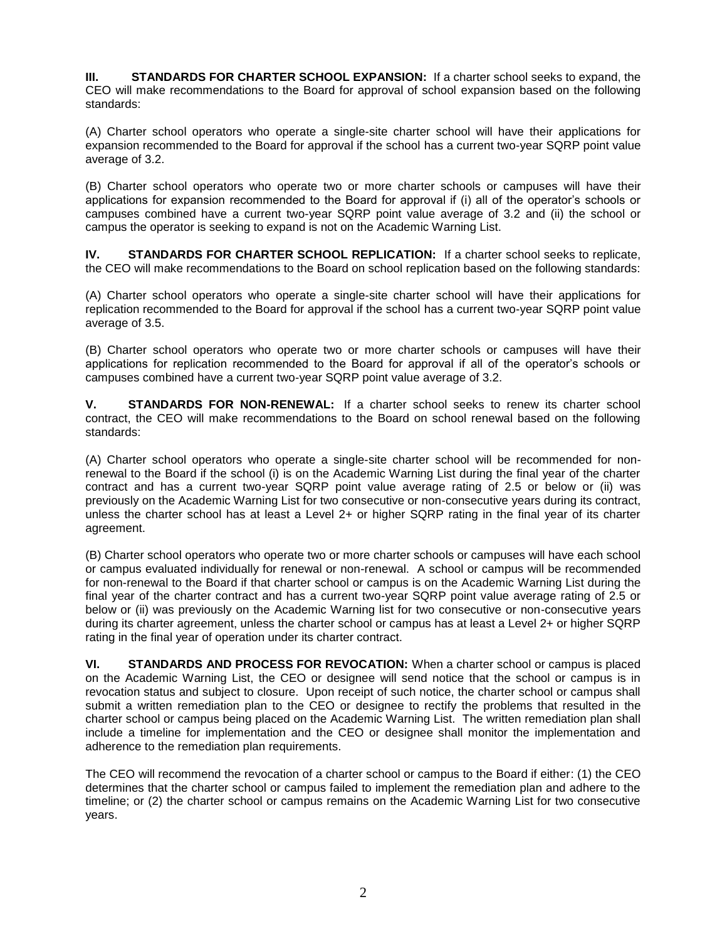**III. STANDARDS FOR CHARTER SCHOOL EXPANSION:** If a charter school seeks to expand, the CEO will make recommendations to the Board for approval of school expansion based on the following standards:

(A) Charter school operators who operate a single-site charter school will have their applications for expansion recommended to the Board for approval if the school has a current two-year SQRP point value average of 3.2.

(B) Charter school operators who operate two or more charter schools or campuses will have their applications for expansion recommended to the Board for approval if (i) all of the operator's schools or campuses combined have a current two-year SQRP point value average of 3.2 and (ii) the school or campus the operator is seeking to expand is not on the Academic Warning List.

**IV. STANDARDS FOR CHARTER SCHOOL REPLICATION:** If a charter school seeks to replicate, the CEO will make recommendations to the Board on school replication based on the following standards:

(A) Charter school operators who operate a single-site charter school will have their applications for replication recommended to the Board for approval if the school has a current two-year SQRP point value average of 3.5.

(B) Charter school operators who operate two or more charter schools or campuses will have their applications for replication recommended to the Board for approval if all of the operator's schools or campuses combined have a current two-year SQRP point value average of 3.2.

**V. STANDARDS FOR NON-RENEWAL:** If a charter school seeks to renew its charter school contract, the CEO will make recommendations to the Board on school renewal based on the following standards:

(A) Charter school operators who operate a single-site charter school will be recommended for nonrenewal to the Board if the school (i) is on the Academic Warning List during the final year of the charter contract and has a current two-year SQRP point value average rating of 2.5 or below or (ii) was previously on the Academic Warning List for two consecutive or non-consecutive years during its contract, unless the charter school has at least a Level 2+ or higher SQRP rating in the final year of its charter agreement.

(B) Charter school operators who operate two or more charter schools or campuses will have each school or campus evaluated individually for renewal or non-renewal. A school or campus will be recommended for non-renewal to the Board if that charter school or campus is on the Academic Warning List during the final year of the charter contract and has a current two-year SQRP point value average rating of 2.5 or below or (ii) was previously on the Academic Warning list for two consecutive or non-consecutive years during its charter agreement, unless the charter school or campus has at least a Level 2+ or higher SQRP rating in the final year of operation under its charter contract.

**VI. STANDARDS AND PROCESS FOR REVOCATION:** When a charter school or campus is placed on the Academic Warning List, the CEO or designee will send notice that the school or campus is in revocation status and subject to closure. Upon receipt of such notice, the charter school or campus shall submit a written remediation plan to the CEO or designee to rectify the problems that resulted in the charter school or campus being placed on the Academic Warning List. The written remediation plan shall include a timeline for implementation and the CEO or designee shall monitor the implementation and adherence to the remediation plan requirements.

The CEO will recommend the revocation of a charter school or campus to the Board if either: (1) the CEO determines that the charter school or campus failed to implement the remediation plan and adhere to the timeline; or (2) the charter school or campus remains on the Academic Warning List for two consecutive years.